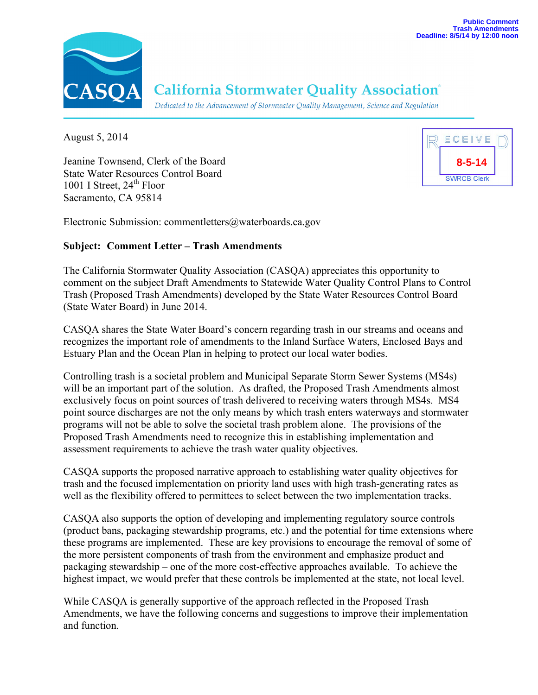

# **California Stormwater Quality Association®**

Dedicated to the Advancement of Stormwater Quality Management, Science and Regulation

August 5, 2014

Jeanine Townsend, Clerk of the Board State Water Resources Control Board 1001 I Street,  $24<sup>th</sup>$  Floor Sacramento, CA 95814



Electronic Submission: commentletters@waterboards.ca.gov

#### **Subject: Comment Letter – Trash Amendments**

The California Stormwater Quality Association (CASQA) appreciates this opportunity to comment on the subject Draft Amendments to Statewide Water Quality Control Plans to Control Trash (Proposed Trash Amendments) developed by the State Water Resources Control Board (State Water Board) in June 2014.

CASQA shares the State Water Board's concern regarding trash in our streams and oceans and recognizes the important role of amendments to the Inland Surface Waters, Enclosed Bays and Estuary Plan and the Ocean Plan in helping to protect our local water bodies.

Controlling trash is a societal problem and Municipal Separate Storm Sewer Systems (MS4s) will be an important part of the solution. As drafted, the Proposed Trash Amendments almost exclusively focus on point sources of trash delivered to receiving waters through MS4s. MS4 point source discharges are not the only means by which trash enters waterways and stormwater programs will not be able to solve the societal trash problem alone. The provisions of the Proposed Trash Amendments need to recognize this in establishing implementation and assessment requirements to achieve the trash water quality objectives.

CASQA supports the proposed narrative approach to establishing water quality objectives for trash and the focused implementation on priority land uses with high trash-generating rates as well as the flexibility offered to permittees to select between the two implementation tracks.

CASQA also supports the option of developing and implementing regulatory source controls (product bans, packaging stewardship programs, etc.) and the potential for time extensions where these programs are implemented. These are key provisions to encourage the removal of some of the more persistent components of trash from the environment and emphasize product and packaging stewardship – one of the more cost-effective approaches available. To achieve the highest impact, we would prefer that these controls be implemented at the state, not local level.

While CASQA is generally supportive of the approach reflected in the Proposed Trash Amendments, we have the following concerns and suggestions to improve their implementation and function.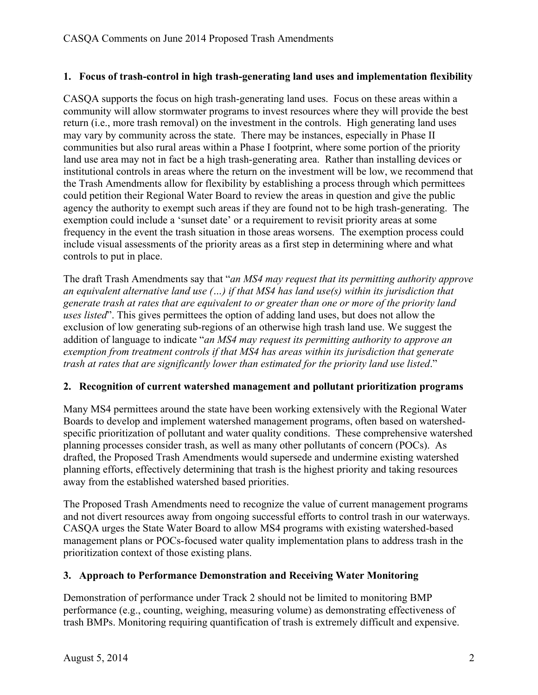#### **1. Focus of trash-control in high trash-generating land uses and implementation flexibility**

CASQA supports the focus on high trash-generating land uses. Focus on these areas within a community will allow stormwater programs to invest resources where they will provide the best return (i.e., more trash removal) on the investment in the controls. High generating land uses may vary by community across the state. There may be instances, especially in Phase II communities but also rural areas within a Phase I footprint, where some portion of the priority land use area may not in fact be a high trash-generating area. Rather than installing devices or institutional controls in areas where the return on the investment will be low, we recommend that the Trash Amendments allow for flexibility by establishing a process through which permittees could petition their Regional Water Board to review the areas in question and give the public agency the authority to exempt such areas if they are found not to be high trash-generating. The exemption could include a 'sunset date' or a requirement to revisit priority areas at some frequency in the event the trash situation in those areas worsens. The exemption process could include visual assessments of the priority areas as a first step in determining where and what controls to put in place.

The draft Trash Amendments say that "*an MS4 may request that its permitting authority approve an equivalent alternative land use (…) if that MS4 has land use(s) within its jurisdiction that generate trash at rates that are equivalent to or greater than one or more of the priority land uses listed*". This gives permittees the option of adding land uses, but does not allow the exclusion of low generating sub-regions of an otherwise high trash land use. We suggest the addition of language to indicate "*an MS4 may request its permitting authority to approve an exemption from treatment controls if that MS4 has areas within its jurisdiction that generate trash at rates that are significantly lower than estimated for the priority land use listed*."

## **2. Recognition of current watershed management and pollutant prioritization programs**

Many MS4 permittees around the state have been working extensively with the Regional Water Boards to develop and implement watershed management programs, often based on watershedspecific prioritization of pollutant and water quality conditions. These comprehensive watershed planning processes consider trash, as well as many other pollutants of concern (POCs). As drafted, the Proposed Trash Amendments would supersede and undermine existing watershed planning efforts, effectively determining that trash is the highest priority and taking resources away from the established watershed based priorities.

The Proposed Trash Amendments need to recognize the value of current management programs and not divert resources away from ongoing successful efforts to control trash in our waterways. CASQA urges the State Water Board to allow MS4 programs with existing watershed-based management plans or POCs-focused water quality implementation plans to address trash in the prioritization context of those existing plans.

## **3. Approach to Performance Demonstration and Receiving Water Monitoring**

Demonstration of performance under Track 2 should not be limited to monitoring BMP performance (e.g., counting, weighing, measuring volume) as demonstrating effectiveness of trash BMPs. Monitoring requiring quantification of trash is extremely difficult and expensive.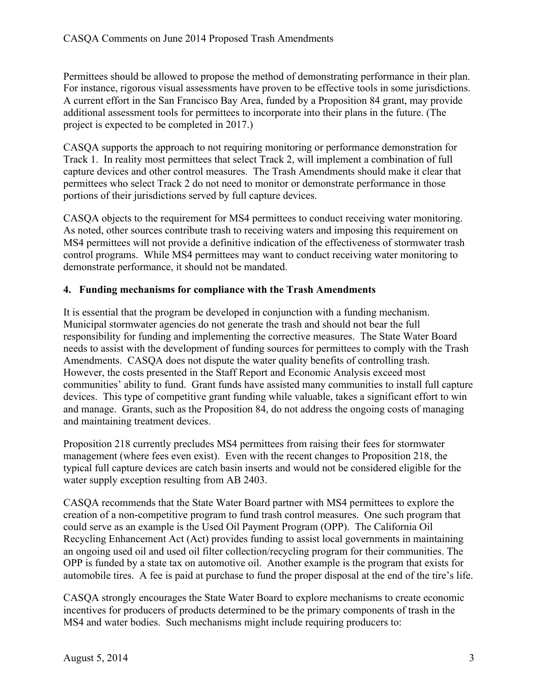Permittees should be allowed to propose the method of demonstrating performance in their plan. For instance, rigorous visual assessments have proven to be effective tools in some jurisdictions. A current effort in the San Francisco Bay Area, funded by a Proposition 84 grant, may provide additional assessment tools for permittees to incorporate into their plans in the future. (The project is expected to be completed in 2017.)

CASQA supports the approach to not requiring monitoring or performance demonstration for Track 1. In reality most permittees that select Track 2, will implement a combination of full capture devices and other control measures. The Trash Amendments should make it clear that permittees who select Track 2 do not need to monitor or demonstrate performance in those portions of their jurisdictions served by full capture devices.

CASQA objects to the requirement for MS4 permittees to conduct receiving water monitoring. As noted, other sources contribute trash to receiving waters and imposing this requirement on MS4 permittees will not provide a definitive indication of the effectiveness of stormwater trash control programs. While MS4 permittees may want to conduct receiving water monitoring to demonstrate performance, it should not be mandated.

## **4. Funding mechanisms for compliance with the Trash Amendments**

It is essential that the program be developed in conjunction with a funding mechanism. Municipal stormwater agencies do not generate the trash and should not bear the full responsibility for funding and implementing the corrective measures. The State Water Board needs to assist with the development of funding sources for permittees to comply with the Trash Amendments. CASQA does not dispute the water quality benefits of controlling trash. However, the costs presented in the Staff Report and Economic Analysis exceed most communities' ability to fund. Grant funds have assisted many communities to install full capture devices. This type of competitive grant funding while valuable, takes a significant effort to win and manage. Grants, such as the Proposition 84, do not address the ongoing costs of managing and maintaining treatment devices.

Proposition 218 currently precludes MS4 permittees from raising their fees for stormwater management (where fees even exist). Even with the recent changes to Proposition 218, the typical full capture devices are catch basin inserts and would not be considered eligible for the water supply exception resulting from AB 2403.

CASQA recommends that the State Water Board partner with MS4 permittees to explore the creation of a non-competitive program to fund trash control measures. One such program that could serve as an example is the Used Oil Payment Program (OPP). The California Oil Recycling Enhancement Act (Act) provides funding to assist local governments in maintaining an ongoing used oil and used oil filter collection/recycling program for their communities. The OPP is funded by a state tax on automotive oil. Another example is the program that exists for automobile tires. A fee is paid at purchase to fund the proper disposal at the end of the tire's life.

CASQA strongly encourages the State Water Board to explore mechanisms to create economic incentives for producers of products determined to be the primary components of trash in the MS4 and water bodies. Such mechanisms might include requiring producers to: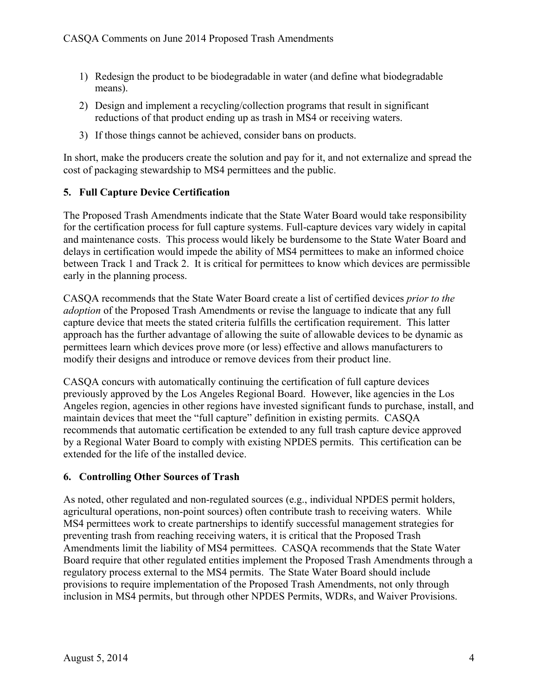- 1) Redesign the product to be biodegradable in water (and define what biodegradable means).
- 2) Design and implement a recycling/collection programs that result in significant reductions of that product ending up as trash in MS4 or receiving waters.
- 3) If those things cannot be achieved, consider bans on products.

In short, make the producers create the solution and pay for it, and not externalize and spread the cost of packaging stewardship to MS4 permittees and the public.

# **5. Full Capture Device Certification**

The Proposed Trash Amendments indicate that the State Water Board would take responsibility for the certification process for full capture systems. Full-capture devices vary widely in capital and maintenance costs. This process would likely be burdensome to the State Water Board and delays in certification would impede the ability of MS4 permittees to make an informed choice between Track 1 and Track 2. It is critical for permittees to know which devices are permissible early in the planning process.

CASQA recommends that the State Water Board create a list of certified devices *prior to the adoption* of the Proposed Trash Amendments or revise the language to indicate that any full capture device that meets the stated criteria fulfills the certification requirement. This latter approach has the further advantage of allowing the suite of allowable devices to be dynamic as permittees learn which devices prove more (or less) effective and allows manufacturers to modify their designs and introduce or remove devices from their product line.

CASQA concurs with automatically continuing the certification of full capture devices previously approved by the Los Angeles Regional Board. However, like agencies in the Los Angeles region, agencies in other regions have invested significant funds to purchase, install, and maintain devices that meet the "full capture" definition in existing permits. CASQA recommends that automatic certification be extended to any full trash capture device approved by a Regional Water Board to comply with existing NPDES permits. This certification can be extended for the life of the installed device.

# **6. Controlling Other Sources of Trash**

As noted, other regulated and non-regulated sources (e.g., individual NPDES permit holders, agricultural operations, non-point sources) often contribute trash to receiving waters. While MS4 permittees work to create partnerships to identify successful management strategies for preventing trash from reaching receiving waters, it is critical that the Proposed Trash Amendments limit the liability of MS4 permittees. CASQA recommends that the State Water Board require that other regulated entities implement the Proposed Trash Amendments through a regulatory process external to the MS4 permits. The State Water Board should include provisions to require implementation of the Proposed Trash Amendments, not only through inclusion in MS4 permits, but through other NPDES Permits, WDRs, and Waiver Provisions.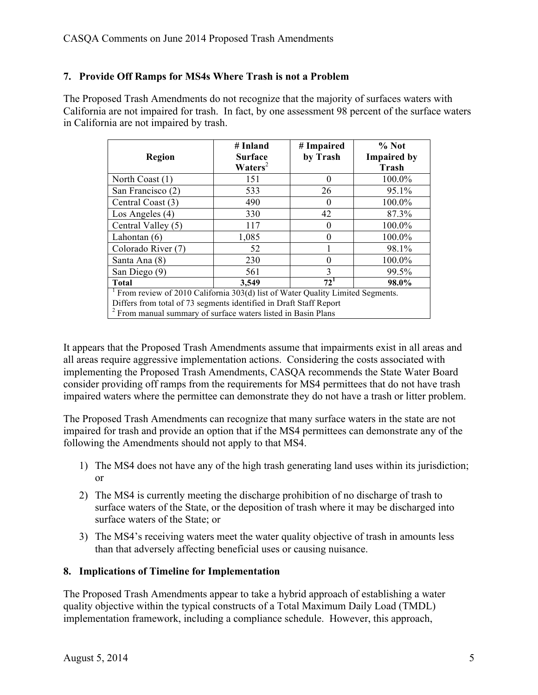## **7. Provide Off Ramps for MS4s Where Trash is not a Problem**

The Proposed Trash Amendments do not recognize that the majority of surfaces waters with California are not impaired for trash. In fact, by one assessment 98 percent of the surface waters in California are not impaired by trash.

| <b>Region</b>                                                                                                                                                                                                                                | # Inland<br><b>Surface</b><br>$\mathbf{W}\mathbf{aters}^2$ | # Impaired<br>by Trash | $%$ Not<br><b>Impaired by</b><br><b>Trash</b> |
|----------------------------------------------------------------------------------------------------------------------------------------------------------------------------------------------------------------------------------------------|------------------------------------------------------------|------------------------|-----------------------------------------------|
| North Coast (1)                                                                                                                                                                                                                              | 151                                                        | 0                      | 100.0%                                        |
| San Francisco (2)                                                                                                                                                                                                                            | 533                                                        | 26                     | 95.1%                                         |
| Central Coast (3)                                                                                                                                                                                                                            | 490                                                        |                        | 100.0%                                        |
| Los Angeles (4)                                                                                                                                                                                                                              | 330                                                        | 42                     | 87.3%                                         |
| Central Valley (5)                                                                                                                                                                                                                           | 117                                                        |                        | 100.0%                                        |
| Lahontan $(6)$                                                                                                                                                                                                                               | 1,085                                                      |                        | 100.0%                                        |
| Colorado River (7)                                                                                                                                                                                                                           | 52                                                         |                        | 98.1%                                         |
| Santa Ana (8)                                                                                                                                                                                                                                | 230                                                        |                        | 100.0%                                        |
| San Diego (9)                                                                                                                                                                                                                                | 561                                                        | 3                      | 99.5%                                         |
| <b>Total</b>                                                                                                                                                                                                                                 | 3,549                                                      | 72 <sup>1</sup>        | 98.0%                                         |
| <sup>1</sup> From review of 2010 California 303(d) list of Water Quality Limited Segments.<br>Differs from total of 73 segments identified in Draft Staff Report<br><sup>2</sup> From manual summary of surface waters listed in Basin Plans |                                                            |                        |                                               |

It appears that the Proposed Trash Amendments assume that impairments exist in all areas and all areas require aggressive implementation actions. Considering the costs associated with implementing the Proposed Trash Amendments, CASQA recommends the State Water Board consider providing off ramps from the requirements for MS4 permittees that do not have trash impaired waters where the permittee can demonstrate they do not have a trash or litter problem.

The Proposed Trash Amendments can recognize that many surface waters in the state are not impaired for trash and provide an option that if the MS4 permittees can demonstrate any of the following the Amendments should not apply to that MS4.

- 1) The MS4 does not have any of the high trash generating land uses within its jurisdiction; or
- 2) The MS4 is currently meeting the discharge prohibition of no discharge of trash to surface waters of the State, or the deposition of trash where it may be discharged into surface waters of the State; or
- 3) The MS4's receiving waters meet the water quality objective of trash in amounts less than that adversely affecting beneficial uses or causing nuisance.

## **8. Implications of Timeline for Implementation**

The Proposed Trash Amendments appear to take a hybrid approach of establishing a water quality objective within the typical constructs of a Total Maximum Daily Load (TMDL) implementation framework, including a compliance schedule. However, this approach,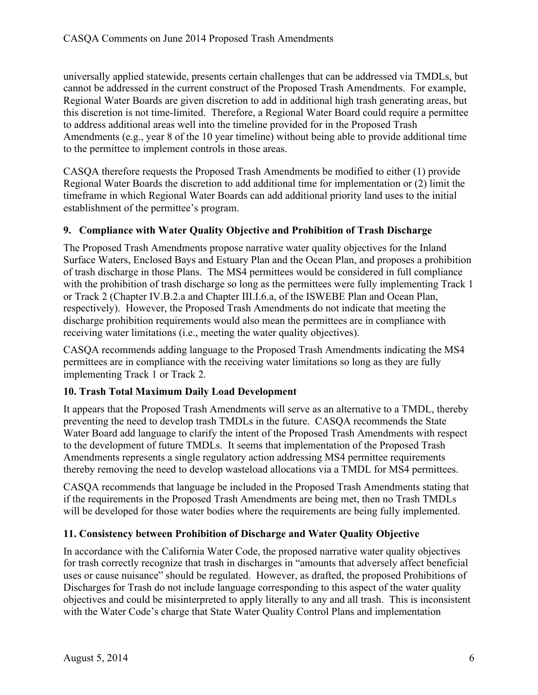universally applied statewide, presents certain challenges that can be addressed via TMDLs, but cannot be addressed in the current construct of the Proposed Trash Amendments. For example, Regional Water Boards are given discretion to add in additional high trash generating areas, but this discretion is not time-limited. Therefore, a Regional Water Board could require a permittee to address additional areas well into the timeline provided for in the Proposed Trash Amendments (e.g., year 8 of the 10 year timeline) without being able to provide additional time to the permittee to implement controls in those areas.

CASQA therefore requests the Proposed Trash Amendments be modified to either (1) provide Regional Water Boards the discretion to add additional time for implementation or (2) limit the timeframe in which Regional Water Boards can add additional priority land uses to the initial establishment of the permittee's program.

## **9. Compliance with Water Quality Objective and Prohibition of Trash Discharge**

The Proposed Trash Amendments propose narrative water quality objectives for the Inland Surface Waters, Enclosed Bays and Estuary Plan and the Ocean Plan, and proposes a prohibition of trash discharge in those Plans. The MS4 permittees would be considered in full compliance with the prohibition of trash discharge so long as the permittees were fully implementing Track 1 or Track 2 (Chapter IV.B.2.a and Chapter III.I.6.a, of the ISWEBE Plan and Ocean Plan, respectively). However, the Proposed Trash Amendments do not indicate that meeting the discharge prohibition requirements would also mean the permittees are in compliance with receiving water limitations (i.e., meeting the water quality objectives).

CASQA recommends adding language to the Proposed Trash Amendments indicating the MS4 permittees are in compliance with the receiving water limitations so long as they are fully implementing Track 1 or Track 2.

## **10. Trash Total Maximum Daily Load Development**

It appears that the Proposed Trash Amendments will serve as an alternative to a TMDL, thereby preventing the need to develop trash TMDLs in the future. CASQA recommends the State Water Board add language to clarify the intent of the Proposed Trash Amendments with respect to the development of future TMDLs. It seems that implementation of the Proposed Trash Amendments represents a single regulatory action addressing MS4 permittee requirements thereby removing the need to develop wasteload allocations via a TMDL for MS4 permittees.

CASQA recommends that language be included in the Proposed Trash Amendments stating that if the requirements in the Proposed Trash Amendments are being met, then no Trash TMDLs will be developed for those water bodies where the requirements are being fully implemented.

# **11. Consistency between Prohibition of Discharge and Water Quality Objective**

In accordance with the California Water Code, the proposed narrative water quality objectives for trash correctly recognize that trash in discharges in "amounts that adversely affect beneficial uses or cause nuisance" should be regulated. However, as drafted, the proposed Prohibitions of Discharges for Trash do not include language corresponding to this aspect of the water quality objectives and could be misinterpreted to apply literally to any and all trash. This is inconsistent with the Water Code's charge that State Water Quality Control Plans and implementation